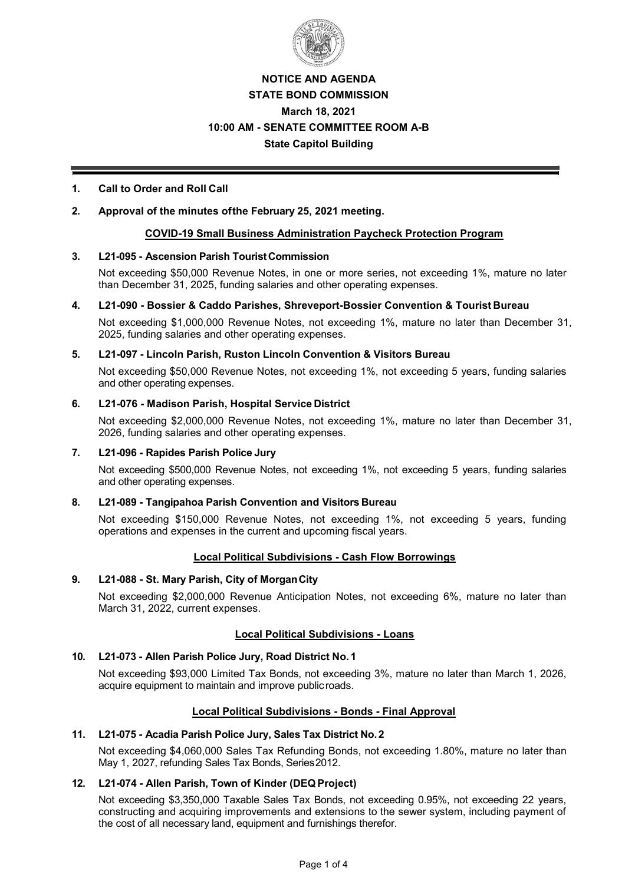

# **NOTICE AND AGENDA STATE BOND COMMISSION March 18, 2021 10:00 AM - SENATE COMMITTEE ROOM A-B State Capitol Building**

# **1. Call to Order and Roll Call**

# **2. Approval of the minutes ofthe February 25, 2021 meeting.**

# **COVID19 Small Business Administration Paycheck Protection Program**

# **3. L21095 Ascension Parish TouristCommission**

Not exceeding \$50,000 Revenue Notes, in one or more series, not exceeding 1%, mature no later than December 31, 2025, funding salaries and other operating expenses.

# **4. L21090 Bossier & Caddo Parishes, ShreveportBossier Convention & Tourist Bureau**

Not exceeding \$1,000,000 Revenue Notes, not exceeding 1%, mature no later than December 31, 2025, funding salaries and other operating expenses.

# **5. L21097 Lincoln Parish, Ruston Lincoln Convention & Visitors Bureau**

Not exceeding \$50,000 Revenue Notes, not exceeding 1%, not exceeding 5 years, funding salaries and other operating expenses.

# **6. L21076 Madison Parish, Hospital Service District**

Not exceeding \$2,000,000 Revenue Notes, not exceeding 1%, mature no later than December 31, 2026, funding salaries and other operating expenses.

#### **7. L21096 Rapides Parish Police Jury**

Not exceeding \$500,000 Revenue Notes, not exceeding 1%, not exceeding 5 years, funding salaries and other operating expenses.

# **8. L21089 Tangipahoa Parish Convention and Visitors Bureau**

Not exceeding \$150,000 Revenue Notes, not exceeding 1%, not exceeding 5 years, funding operations and expenses in the current and upcoming fiscal years.

# **Local Political Subdivisions Cash Flow Borrowings**

# 9. L21-088 - St. Mary Parish, City of Morgan City

Not exceeding \$2,000,000 Revenue Anticipation Notes, not exceeding 6%, mature no later than March 31, 2022, current expenses.

# **Local Political Subdivisions Loans**

# **10. L21073 Allen Parish Police Jury, Road District No. 1**

Not exceeding \$93,000 Limited Tax Bonds, not exceeding 3%, mature no later than March 1, 2026, acquire equipment to maintain and improve public roads.

# **Local Political Subdivisions - Bonds - Final Approval**

#### **11. L21075 Acadia Parish Police Jury, Sales Tax District No.2**

Not exceeding \$4,060,000 Sales Tax Refunding Bonds, not exceeding 1.80%, mature no later than May 1, 2027, refunding Sales Tax Bonds, Series2012.

# **12. L21074 Allen Parish, Town of Kinder (DEQ Project)**

Not exceeding \$3,350,000 Taxable Sales Tax Bonds, not exceeding 0.95%, not exceeding 22 years, constructing and acquiring improvements and extensions to the sewer system, including payment of the cost of all necessary land, equipment and furnishings therefor.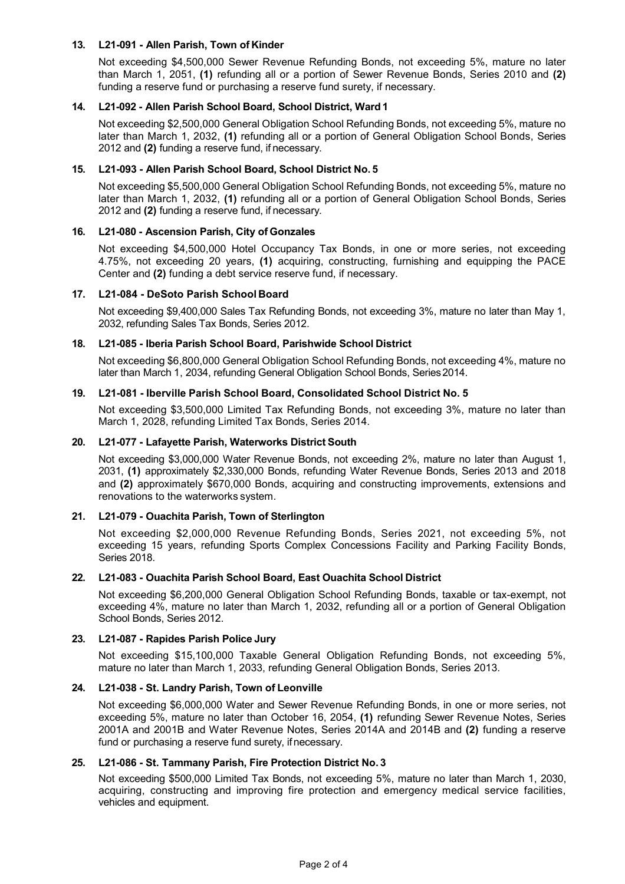# **13. L21091 Allen Parish, Town of Kinder**

Not exceeding \$4,500,000 Sewer Revenue Refunding Bonds, not exceeding 5%, mature no later than March 1, 2051, **(1)** refunding all or a portion of Sewer Revenue Bonds, Series 2010 and **(2)**  funding a reserve fund or purchasing a reserve fund surety, if necessary.

# **14. L21092 Allen Parish School Board, School District, Ward1**

Not exceeding \$2,500,000 General Obligation School Refunding Bonds, not exceeding 5%, mature no later than March 1, 2032, **(1)** refunding all or a portion of General Obligation School Bonds, Series 2012 and **(2)** funding a reserve fund, if necessary.

# **15. L21093 Allen Parish School Board, School District No. 5**

Not exceeding \$5,500,000 General Obligation School Refunding Bonds, not exceeding 5%, mature no later than March 1, 2032, **(1)** refunding all or a portion of General Obligation School Bonds, Series 2012 and **(2)** funding a reserve fund, if necessary.

# **16. L21080 Ascension Parish, City of Gonzales**

Not exceeding \$4,500,000 Hotel Occupancy Tax Bonds, in one or more series, not exceeding 4.75%, not exceeding 20 years, **(1)** acquiring, constructing, furnishing and equipping the PACE Center and **(2)** funding a debt service reserve fund, if necessary.

# 17. L21-084 - DeSoto Parish School Board

Not exceeding \$9,400,000 Sales Tax Refunding Bonds, not exceeding 3%, mature no later than May 1, 2032, refunding Sales Tax Bonds, Series 2012.

# **18. L21085 Iberia Parish School Board, Parishwide School District**

Not exceeding \$6,800,000 General Obligation School Refunding Bonds, not exceeding 4%, mature no later than March 1, 2034, refunding General Obligation School Bonds, Series 2014.

# **19. L21081 Iberville Parish School Board, Consolidated School District No. 5**

Not exceeding \$3,500,000 Limited Tax Refunding Bonds, not exceeding 3%, mature no later than March 1, 2028, refunding Limited Tax Bonds, Series 2014.

### **20. L21077 Lafayette Parish, Waterworks District South**

Not exceeding \$3,000,000 Water Revenue Bonds, not exceeding 2%, mature no later than August 1, 2031, **(1)** approximately \$2,330,000 Bonds, refunding Water Revenue Bonds, Series 2013 and 2018 and **(2)** approximately \$670,000 Bonds, acquiring and constructing improvements, extensions and renovations to the waterworks system.

#### **21. L21079 Ouachita Parish, Town of Sterlington**

Not exceeding \$2,000,000 Revenue Refunding Bonds, Series 2021, not exceeding 5%, not exceeding 15 years, refunding Sports Complex Concessions Facility and Parking Facility Bonds, Series 2018.

#### **22. L21083 Ouachita Parish School Board, East Ouachita School District**

Not exceeding \$6,200,000 General Obligation School Refunding Bonds, taxable or tax-exempt, not exceeding 4%, mature no later than March 1, 2032, refunding all or a portion of General Obligation School Bonds, Series 2012.

#### **23. L21087 Rapides Parish Police Jury**

Not exceeding \$15,100,000 Taxable General Obligation Refunding Bonds, not exceeding 5%, mature no later than March 1, 2033, refunding General Obligation Bonds, Series 2013.

# 24. L21-038 - St. Landry Parish, Town of Leonville

Not exceeding \$6,000,000 Water and Sewer Revenue Refunding Bonds, in one or more series, not exceeding 5%, mature no later than October 16, 2054, **(1)** refunding Sewer Revenue Notes, Series 2001A and 2001B and Water Revenue Notes, Series 2014A and 2014B and **(2)** funding a reserve fund or purchasing a reserve fund surety, ifnecessary.

#### **25. L21086 St. Tammany Parish, Fire Protection District No. 3**

Not exceeding \$500,000 Limited Tax Bonds, not exceeding 5%, mature no later than March 1, 2030, acquiring, constructing and improving fire protection and emergency medical service facilities, vehicles and equipment.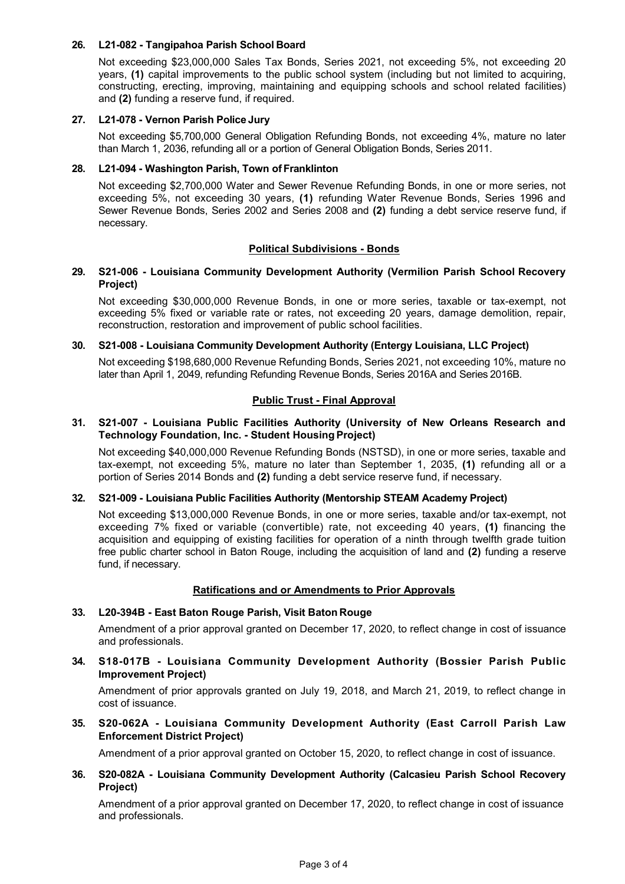# **26. L21082 Tangipahoa Parish School Board**

Not exceeding \$23,000,000 Sales Tax Bonds, Series 2021, not exceeding 5%, not exceeding 20 years, **(1)** capital improvements to the public school system (including but not limited to acquiring, constructing, erecting, improving, maintaining and equipping schools and school related facilities) and **(2)** funding a reserve fund, if required.

# **27. L21078 Vernon Parish Police Jury**

Not exceeding \$5,700,000 General Obligation Refunding Bonds, not exceeding 4%, mature no later than March 1, 2036, refunding all or a portion of General Obligation Bonds, Series 2011.

# **28. L21094 Washington Parish, Town of Franklinton**

Not exceeding \$2,700,000 Water and Sewer Revenue Refunding Bonds, in one or more series, not exceeding 5%, not exceeding 30 years, **(1)** refunding Water Revenue Bonds, Series 1996 and Sewer Revenue Bonds, Series 2002 and Series 2008 and **(2)** funding a debt service reserve fund, if necessary.

# **Political Subdivisions - Bonds**

# **29. S21006 Louisiana Community Development Authority (Vermilion Parish School Recovery Project)**

Not exceeding \$30,000,000 Revenue Bonds, in one or more series, taxable or tax-exempt, not exceeding 5% fixed or variable rate or rates, not exceeding 20 years, damage demolition, repair, reconstruction, restoration and improvement of public school facilities.

# **30. S21008 Louisiana Community Development Authority (Entergy Louisiana, LLC Project)**

Not exceeding \$198,680,000 Revenue Refunding Bonds, Series 2021, not exceeding 10%, mature no later than April 1, 2049, refunding Refunding Revenue Bonds, Series 2016A and Series 2016B.

# **Public Trust - Final Approval**

# **31. S21007 Louisiana Public Facilities Authority (University of New Orleans Research and Technology Foundation, Inc. Student HousingProject)**

Not exceeding \$40,000,000 Revenue Refunding Bonds (NSTSD), in one or more series, taxable and taxexempt, not exceeding 5%, mature no later than September 1, 2035, **(1)** refunding all or a portion of Series 2014 Bonds and **(2)** funding a debt service reserve fund, if necessary.

# **32. S21009 Louisiana Public Facilities Authority (Mentorship STEAM Academy Project)**

Not exceeding \$13,000,000 Revenue Bonds, in one or more series, taxable and/or tax-exempt, not exceeding 7% fixed or variable (convertible) rate, not exceeding 40 years, **(1)** financing the acquisition and equipping of existing facilities for operation of a ninth through twelfth grade tuition free public charter school in Baton Rouge, including the acquisition of land and **(2)** funding a reserve fund, if necessary.

# **Ratifications and or Amendments to Prior Approvals**

# **33. L20394B East Baton Rouge Parish, Visit Baton Rouge**

Amendment of a prior approval granted on December 17, 2020, to reflect change in cost of issuance and professionals.

**34. S18-017B - Louisiana Community Development Authority (Bossier Parish Public Improvement Project)**

Amendment of prior approvals granted on July 19, 2018, and March 21, 2019, to reflect change in cost of issuance.

# **35. S20-062A - Louisiana Community Development Authority (East Carroll Parish Law Enforcement District Project)**

Amendment of a prior approval granted on October 15, 2020, to reflect change in cost of issuance.

36. S20-082A - Louisiana Community Development Authority (Calcasieu Parish School Recovery **Project)**

Amendment of a prior approval granted on December 17, 2020, to reflect change in cost of issuance and professionals.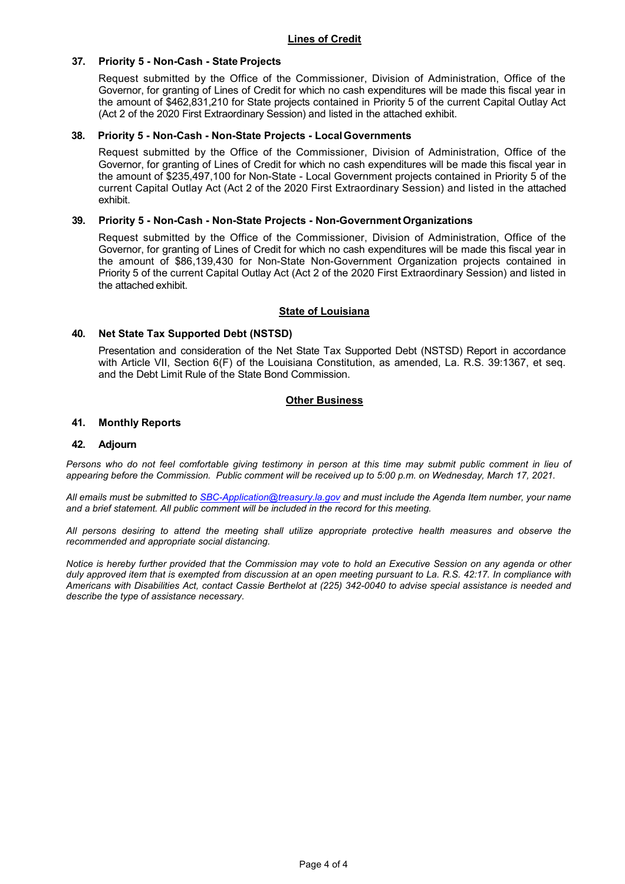# **37. Priority 5 NonCash State Projects**

Request submitted by the Office of the Commissioner, Division of Administration, Office of the Governor, for granting of Lines of Credit for which no cash expenditures will be made this fiscal year in the amount of \$462,831,210 for State projects contained in Priority 5 of the current Capital Outlay Act (Act 2 of the 2020 First Extraordinary Session) and listed in the attached exhibit.

# **38. Priority 5 NonCash NonState Projects LocalGovernments**

Request submitted by the Office of the Commissioner, Division of Administration, Office of the Governor, for granting of Lines of Credit for which no cash expenditures will be made this fiscal year in the amount of \$235,497,100 for Non-State - Local Government projects contained in Priority 5 of the current Capital Outlay Act (Act 2 of the 2020 First Extraordinary Session) and listed in the attached exhibit.

# **39. Priority 5 - Non-Cash - Non-State Projects - Non-Government Organizations**

Request submitted by the Office of the Commissioner, Division of Administration, Office of the Governor, for granting of Lines of Credit for which no cash expenditures will be made this fiscal year in the amount of \$86,139,430 for Non-State Non-Government Organization projects contained in Priority 5 of the current Capital Outlay Act (Act 2 of the 2020 First Extraordinary Session) and listed in the attached exhibit.

# **State of Louisiana**

# **40. Net State Tax Supported Debt (NSTSD)**

Presentation and consideration of the Net State Tax Supported Debt (NSTSD) Report in accordance with Article VII, Section 6(F) of the Louisiana Constitution, as amended, La. R.S. 39:1367, et seq. and the Debt Limit Rule of the State Bond Commission.

# **Other Business**

# **41. Monthly Reports**

### **42. Adjourn**

Persons who do not feel comfortable giving testimony in person at this time may submit public comment in lieu of *appearing before the Commission. Public comment will be received up to 5:00 p.m. on Wednesday, March 17, 2021.*

*All emails must be submitted to [SBC-Application@treasury.la.gov](mailto:SBC-Application@treasury.la.gov) and must include the Agenda Item number, your name and a brief statement. All public comment will be included in the record for this meeting.* 

*All persons desiring to attend the meeting shall utilize appropriate protective health measures and observe the recommended and appropriate social distancing.* 

*Notice is hereby further provided that the Commission may vote to hold an Executive Session on any agenda or other duly approved item that is exempted from discussion at an open meeting pursuant to La. R.S. 42:17. In compliance with Americans with Disabilities Act, contact Cassie Berthelot at (225) 342-0040 to advise special assistance is needed and describe the type of assistance necessary.*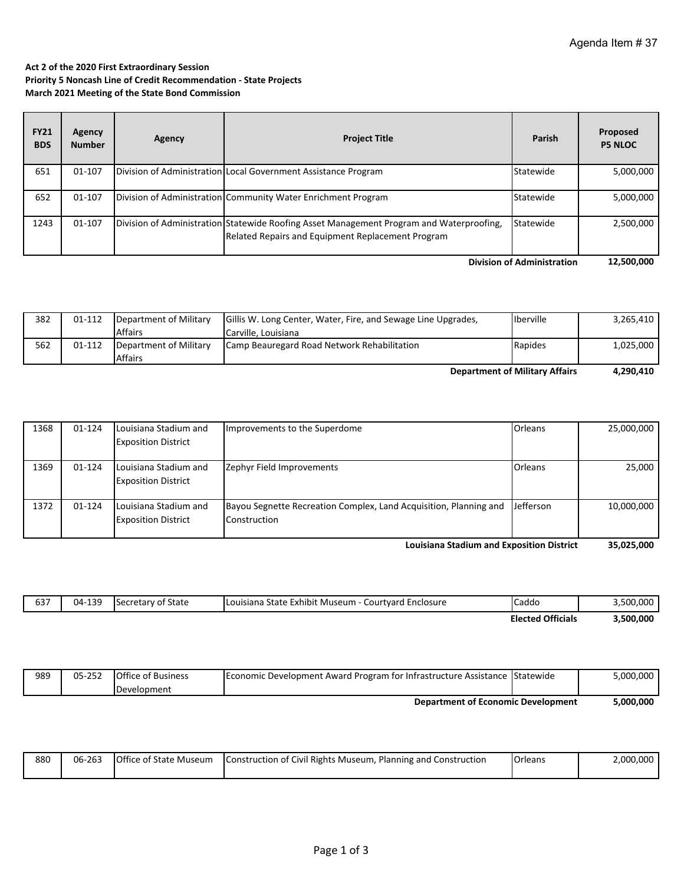#### **Act 2 of the 2020 First Extraordinary Session Priority 5 Noncash Line of Credit Recommendation ‐ State Projects March 2021 Meeting of the State Bond Commission**

| <b>FY21</b><br><b>BDS</b> | Agency<br><b>Number</b>                         | Agency | <b>Project Title</b>                                                                                                                          | Parish    | Proposed<br><b>P5 NLOC</b> |
|---------------------------|-------------------------------------------------|--------|-----------------------------------------------------------------------------------------------------------------------------------------------|-----------|----------------------------|
| 651                       | 01-107                                          |        | Division of Administration Local Government Assistance Program                                                                                | Statewide | 5,000,000                  |
| 652                       | 01-107                                          |        | Division of Administration Community Water Enrichment Program                                                                                 | Statewide | 5,000,000                  |
| 1243                      | 01-107                                          |        | Division of Administration Statewide Roofing Asset Management Program and Waterproofing,<br>Related Repairs and Equipment Replacement Program | Statewide | 2,500,000                  |
|                           | <b>Division of Administration</b><br>12,500,000 |        |                                                                                                                                               |           |                            |

| 382 | 01-112 | Department of Military | Gillis W. Long Center, Water, Fire, and Sewage Line Upgrades, | <b>Iberville</b>                      | 3,265,410 |
|-----|--------|------------------------|---------------------------------------------------------------|---------------------------------------|-----------|
|     |        | <b>Affairs</b>         | Carville, Louisiana                                           |                                       |           |
| 562 | 01-112 | Department of Military | Camp Beauregard Road Network Rehabilitation                   | Rapides                               | 1.025.000 |
|     |        | Affairs                |                                                               |                                       |           |
|     |        |                        |                                                               | <b>Department of Military Affairs</b> |           |

| 1368 | $01 - 124$ | Louisiana Stadium and<br><b>Exposition District</b> | Improvements to the Superdome                                                     | <b>Orleans</b> | 25,000,000 |
|------|------------|-----------------------------------------------------|-----------------------------------------------------------------------------------|----------------|------------|
| 1369 | $01 - 124$ | Louisiana Stadium and<br><b>Exposition District</b> | Zephyr Field Improvements                                                         | <b>Orleans</b> | 25,000     |
| 1372 | $01 - 124$ | Louisiana Stadium and<br><b>Exposition District</b> | Bayou Segnette Recreation Complex, Land Acquisition, Planning and<br>Construction | Jefferson      | 10,000,000 |

 **35,025,000 Louisiana Stadium and Exposition District**

| 637 | -139<br>04- | Secretary of State | : Exhibit Museum ·<br>Courtvard Enclosure<br>. State<br>Louisiana | Caddo                    | <b>EOO OOO</b><br>3,300,000 |
|-----|-------------|--------------------|-------------------------------------------------------------------|--------------------------|-----------------------------|
|     |             |                    |                                                                   | <b>Elected Officials</b> | 3,500,000                   |

| 989 | 05-252                                    | <b>Office of Business</b> | Economic Development Award Program for Infrastructure Assistance Statewide |  | 5,000,000 |
|-----|-------------------------------------------|---------------------------|----------------------------------------------------------------------------|--|-----------|
|     |                                           | Development               |                                                                            |  |           |
|     | <b>Department of Economic Development</b> |                           | 5.000.000                                                                  |  |           |

| 880 | 06-263 | Office of S<br><sup>c</sup> State Museum | Construction of Civil Rights Museum.<br>Planning and<br>Construction | Orleans | 2,000,000 |
|-----|--------|------------------------------------------|----------------------------------------------------------------------|---------|-----------|
|     |        |                                          |                                                                      |         |           |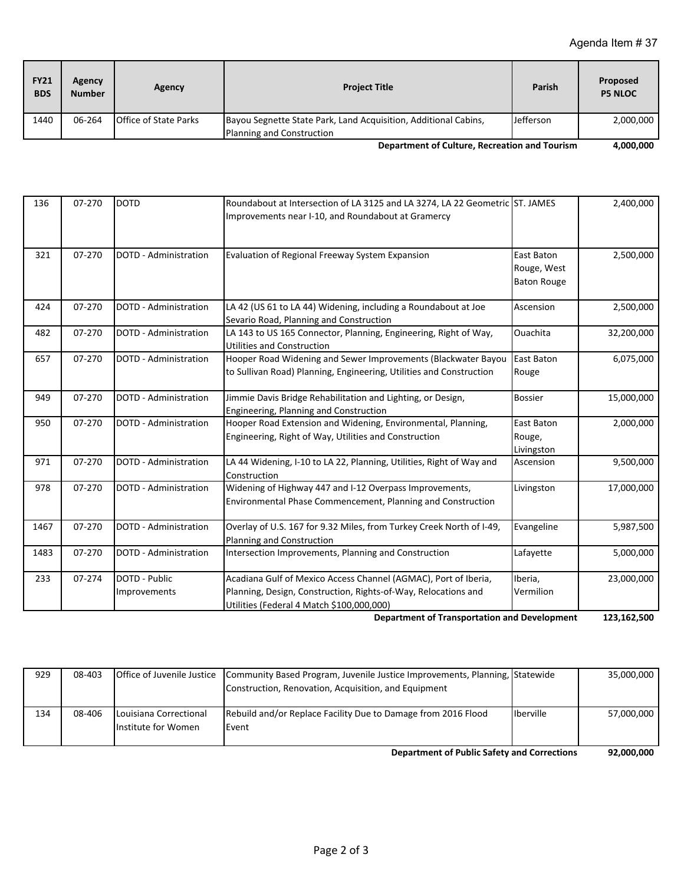| <b>FY21</b><br><b>BDS</b>                     | Agency<br><b>Number</b> | Agency                       | <b>Project Title</b>                                            | Parish    | Proposed<br><b>P5 NLOC</b> |
|-----------------------------------------------|-------------------------|------------------------------|-----------------------------------------------------------------|-----------|----------------------------|
| 1440                                          | 06-264                  | <b>Office of State Parks</b> | Bayou Segnette State Park, Land Acquisition, Additional Cabins, | Jefferson | 2,000,000                  |
|                                               |                         |                              | Planning and Construction                                       |           |                            |
| Department of Culture, Recreation and Tourism |                         |                              |                                                                 | 4,000,000 |                            |

| 136  | 07-270 | <b>DOTD</b>                   | Roundabout at Intersection of LA 3125 and LA 3274, LA 22 Geometric ST. JAMES<br>Improvements near I-10, and Roundabout at Gramercy                                             |                                                 | 2,400,000  |
|------|--------|-------------------------------|--------------------------------------------------------------------------------------------------------------------------------------------------------------------------------|-------------------------------------------------|------------|
| 321  | 07-270 | DOTD - Administration         | Evaluation of Regional Freeway System Expansion                                                                                                                                | East Baton<br>Rouge, West<br><b>Baton Rouge</b> | 2,500,000  |
| 424  | 07-270 | DOTD - Administration         | LA 42 (US 61 to LA 44) Widening, including a Roundabout at Joe<br>Sevario Road, Planning and Construction                                                                      | Ascension                                       | 2,500,000  |
| 482  | 07-270 | <b>DOTD - Administration</b>  | LA 143 to US 165 Connector, Planning, Engineering, Right of Way,<br><b>Utilities and Construction</b>                                                                          | Ouachita                                        | 32,200,000 |
| 657  | 07-270 | DOTD - Administration         | Hooper Road Widening and Sewer Improvements (Blackwater Bayou<br>to Sullivan Road) Planning, Engineering, Utilities and Construction                                           | East Baton<br>Rouge                             | 6,075,000  |
| 949  | 07-270 | DOTD - Administration         | Jimmie Davis Bridge Rehabilitation and Lighting, or Design,<br>Engineering, Planning and Construction                                                                          | <b>Bossier</b>                                  | 15,000,000 |
| 950  | 07-270 | <b>DOTD - Administration</b>  | Hooper Road Extension and Widening, Environmental, Planning,<br>Engineering, Right of Way, Utilities and Construction                                                          | East Baton<br>Rouge,<br>Livingston              | 2,000,000  |
| 971  | 07-270 | DOTD - Administration         | LA 44 Widening, I-10 to LA 22, Planning, Utilities, Right of Way and<br>Construction                                                                                           | Ascension                                       | 9,500,000  |
| 978  | 07-270 | DOTD - Administration         | Widening of Highway 447 and I-12 Overpass Improvements,<br>Environmental Phase Commencement, Planning and Construction                                                         | Livingston                                      | 17,000,000 |
| 1467 | 07-270 | DOTD - Administration         | Overlay of U.S. 167 for 9.32 Miles, from Turkey Creek North of I-49,<br>Planning and Construction                                                                              | Evangeline                                      | 5,987,500  |
| 1483 | 07-270 | <b>DOTD - Administration</b>  | Intersection Improvements, Planning and Construction                                                                                                                           | Lafayette                                       | 5,000,000  |
| 233  | 07-274 | DOTD - Public<br>Improvements | Acadiana Gulf of Mexico Access Channel (AGMAC), Port of Iberia,<br>Planning, Design, Construction, Rights-of-Way, Relocations and<br>Utilities (Federal 4 Match \$100,000,000) | Iberia,<br>Vermilion                            | 23,000,000 |

 **123,162,500 Department of Transportation and Development**

| 929 | 08-403 | <b>Office of Juvenile Justice</b>             | Community Based Program, Juvenile Justice Improvements, Planning, Statewide<br>Construction, Renovation, Acquisition, and Equipment |                  | 35,000,000 |
|-----|--------|-----------------------------------------------|-------------------------------------------------------------------------------------------------------------------------------------|------------------|------------|
| 134 | 08-406 | Louisiana Correctional<br>Institute for Women | Rebuild and/or Replace Facility Due to Damage from 2016 Flood<br>Event                                                              | <b>Iberville</b> | 57,000,000 |

 **92,000,000 Department of Public Safety and Corrections**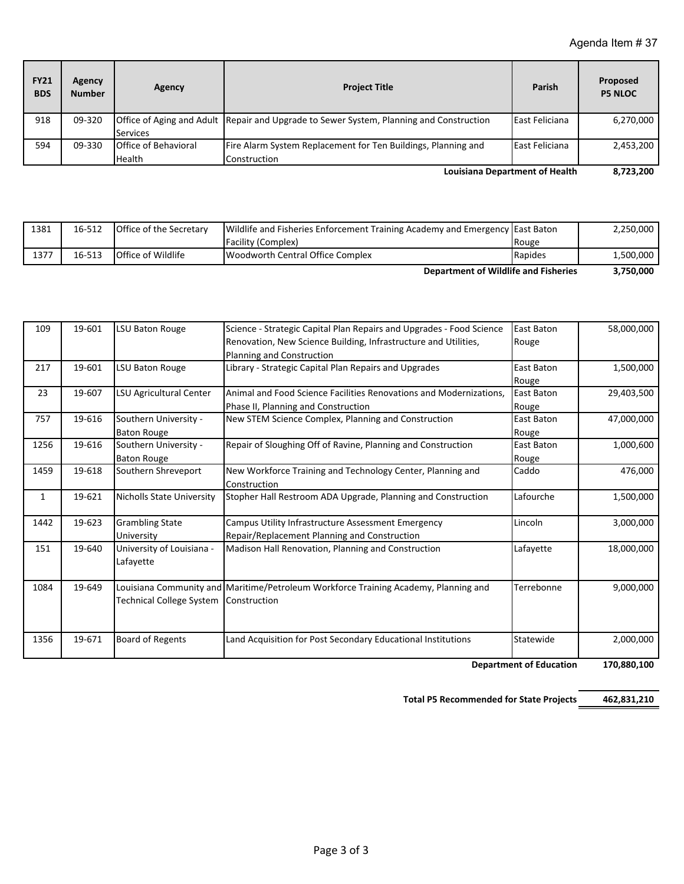| <b>FY21</b><br><b>BDS</b>             | Agency<br><b>Number</b> | Agency                      | <b>Project Title</b>                                                                           | Parish                | Proposed<br><b>P5 NLOC</b> |
|---------------------------------------|-------------------------|-----------------------------|------------------------------------------------------------------------------------------------|-----------------------|----------------------------|
| 918                                   | 09-320                  |                             | <b>Office of Aging and Adult Repair and Upgrade to Sewer System, Planning and Construction</b> | <b>East Feliciana</b> | 6,270,000                  |
|                                       |                         | <b>Services</b>             |                                                                                                |                       |                            |
| 594                                   | 09-330                  | <b>Office of Behavioral</b> | Fire Alarm System Replacement for Ten Buildings, Planning and                                  | East Feliciana        | 2,453,200                  |
|                                       |                         | <b>Health</b>               | Construction                                                                                   |                       |                            |
| <b>Louisiana Department of Health</b> |                         |                             |                                                                                                |                       | 8,723,200                  |

| 1381                                 | 16-512 | <b>Office of the Secretary</b> | Wildlife and Fisheries Enforcement Training Academy and Emergency East Baton |         | 2.250.000 |
|--------------------------------------|--------|--------------------------------|------------------------------------------------------------------------------|---------|-----------|
|                                      |        |                                | Facility (Complex)                                                           | Rouge   |           |
| 1377                                 | 16-513 | <b>Office of Wildlife</b>      | <b>Woodworth Central Office Complex</b>                                      | Rapides | 1.500.000 |
| Department of Wildlife and Fisheries |        | 3,750,000                      |                                                                              |         |           |

| Department of Wildlife and Fisheries | З, |
|--------------------------------------|----|
|--------------------------------------|----|

| 109          | 19-601 | <b>LSU Baton Rouge</b>           | Science - Strategic Capital Plan Repairs and Upgrades - Food Science                | <b>East Baton</b>          | 58,000,000  |
|--------------|--------|----------------------------------|-------------------------------------------------------------------------------------|----------------------------|-------------|
|              |        |                                  | Renovation, New Science Building, Infrastructure and Utilities,                     | Rouge                      |             |
|              |        |                                  | Planning and Construction                                                           |                            |             |
| 217          | 19-601 | LSU Baton Rouge                  | Library - Strategic Capital Plan Repairs and Upgrades                               | East Baton                 | 1,500,000   |
|              |        |                                  |                                                                                     | Rouge                      |             |
| 23           | 19-607 | LSU Agricultural Center          | Animal and Food Science Facilities Renovations and Modernizations,                  | <b>East Baton</b>          | 29,403,500  |
|              |        |                                  | Phase II, Planning and Construction                                                 | Rouge                      |             |
| 757          | 19-616 | Southern University -            | New STEM Science Complex, Planning and Construction                                 | East Baton                 | 47,000,000  |
|              |        | <b>Baton Rouge</b>               |                                                                                     | Rouge                      |             |
| 1256         | 19-616 | Southern University -            | Repair of Sloughing Off of Ravine, Planning and Construction                        | East Baton                 | 1,000,600   |
|              |        | <b>Baton Rouge</b>               |                                                                                     | Rouge                      |             |
| 1459         | 19-618 | Southern Shreveport              | New Workforce Training and Technology Center, Planning and                          | Caddo                      | 476,000     |
|              |        |                                  | Construction                                                                        |                            |             |
| $\mathbf{1}$ | 19-621 | <b>Nicholls State University</b> | Stopher Hall Restroom ADA Upgrade, Planning and Construction                        | Lafourche                  | 1,500,000   |
|              |        |                                  |                                                                                     |                            |             |
| 1442         | 19-623 | <b>Grambling State</b>           | Campus Utility Infrastructure Assessment Emergency                                  | Lincoln                    | 3,000,000   |
|              |        | University                       | Repair/Replacement Planning and Construction                                        |                            |             |
| 151          | 19-640 | University of Louisiana -        | Madison Hall Renovation, Planning and Construction                                  | Lafayette                  | 18,000,000  |
|              |        | Lafayette                        |                                                                                     |                            |             |
|              |        |                                  |                                                                                     |                            |             |
| 1084         | 19-649 |                                  | Louisiana Community and Maritime/Petroleum Workforce Training Academy, Planning and | Terrebonne                 | 9,000,000   |
|              |        | <b>Technical College System</b>  | Construction                                                                        |                            |             |
|              |        |                                  |                                                                                     |                            |             |
|              |        |                                  |                                                                                     |                            |             |
| 1356         | 19-671 | Board of Regents                 | Land Acquisition for Post Secondary Educational Institutions                        | Statewide                  | 2,000,000   |
|              |        |                                  |                                                                                     | Douautusant of Felisantian | 170.000.100 |

 **170,880,100 Department of Education**

 **462,831,210 Total P5 Recommended for State Projects**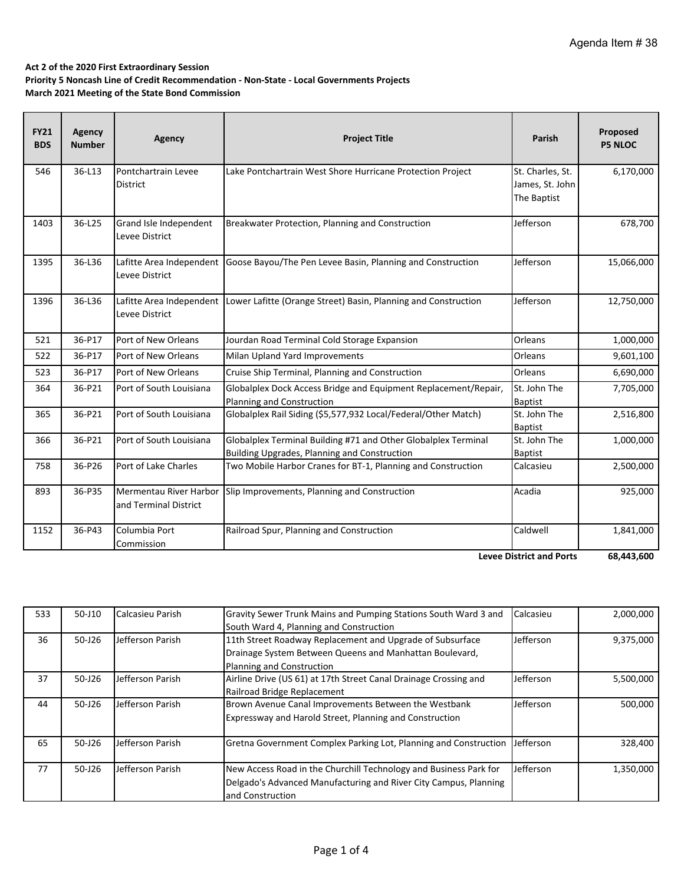#### **Act 2 of the 2020 First Extraordinary Session**

**Priority 5 Noncash Line of Credit Recommendation ‐ Non‐State ‐ Local Governments Projects March 2021 Meeting of the State Bond Commission**

|      | <b>Number</b> | Agency                                          | <b>Project Title</b>                                                                                           | Parish                                             | Proposed<br><b>P5 NLOC</b> |
|------|---------------|-------------------------------------------------|----------------------------------------------------------------------------------------------------------------|----------------------------------------------------|----------------------------|
| 546  | 36-L13        | Pontchartrain Levee<br><b>District</b>          | Lake Pontchartrain West Shore Hurricane Protection Project                                                     | St. Charles, St.<br>James, St. John<br>The Baptist | 6,170,000                  |
| 1403 | 36-L25        | Grand Isle Independent<br>Levee District        | Breakwater Protection, Planning and Construction                                                               | Jefferson                                          | 678,700                    |
| 1395 | 36-L36        | Levee District                                  | Lafitte Area Independent Goose Bayou/The Pen Levee Basin, Planning and Construction                            | Jefferson                                          | 15,066,000                 |
| 1396 | 36-L36        | Levee District                                  | Lafitte Area Independent Lower Lafitte (Orange Street) Basin, Planning and Construction                        | Jefferson                                          | 12,750,000                 |
| 521  | 36-P17        | Port of New Orleans                             | Jourdan Road Terminal Cold Storage Expansion                                                                   | Orleans                                            | 1,000,000                  |
| 522  | 36-P17        | Port of New Orleans                             | Milan Upland Yard Improvements                                                                                 | Orleans                                            | 9,601,100                  |
| 523  | 36-P17        | Port of New Orleans                             | Cruise Ship Terminal, Planning and Construction                                                                | Orleans                                            | 6,690,000                  |
| 364  | 36-P21        | Port of South Louisiana                         | Globalplex Dock Access Bridge and Equipment Replacement/Repair,<br>Planning and Construction                   | St. John The<br><b>Baptist</b>                     | 7,705,000                  |
| 365  | 36-P21        | Port of South Louisiana                         | Globalplex Rail Siding (\$5,577,932 Local/Federal/Other Match)                                                 | St. John The<br><b>Baptist</b>                     | 2,516,800                  |
| 366  | 36-P21        | Port of South Louisiana                         | Globalplex Terminal Building #71 and Other Globalplex Terminal<br>Building Upgrades, Planning and Construction | St. John The<br><b>Baptist</b>                     | 1,000,000                  |
| 758  | 36-P26        | Port of Lake Charles                            | Two Mobile Harbor Cranes for BT-1, Planning and Construction                                                   | Calcasieu                                          | 2,500,000                  |
| 893  | 36-P35        | Mermentau River Harbor<br>and Terminal District | Slip Improvements, Planning and Construction                                                                   | Acadia                                             | 925,000                    |
| 1152 | 36-P43        | Columbia Port<br>Commission                     | Railroad Spur, Planning and Construction                                                                       | Caldwell<br><b>Levee District and Ports</b>        | 1,841,000<br>68,443,600    |

| 533 | 50-J10     | Calcasieu Parish | Gravity Sewer Trunk Mains and Pumping Stations South Ward 3 and<br>South Ward 4, Planning and Construction                                                | Calcasieu | 2,000,000 |
|-----|------------|------------------|-----------------------------------------------------------------------------------------------------------------------------------------------------------|-----------|-----------|
| 36  | 50-J26     | Jefferson Parish | 11th Street Roadway Replacement and Upgrade of Subsurface<br>Drainage System Between Queens and Manhattan Boulevard,<br><b>Planning and Construction</b>  | Jefferson | 9,375,000 |
| 37  | 50-J26     | Jefferson Parish | Airline Drive (US 61) at 17th Street Canal Drainage Crossing and<br>Railroad Bridge Replacement                                                           | Jefferson | 5,500,000 |
| 44  | 50-J26     | Jefferson Parish | Brown Avenue Canal Improvements Between the Westbank<br><b>Expressway and Harold Street, Planning and Construction</b>                                    | Jefferson | 500,000   |
| 65  | 50-J26     | Jefferson Parish | Gretna Government Complex Parking Lot, Planning and Construction                                                                                          | Jefferson | 328,400   |
| 77  | $50 - 126$ | Jefferson Parish | New Access Road in the Churchill Technology and Business Park for<br>Delgado's Advanced Manufacturing and River City Campus, Planning<br>and Construction | Jefferson | 1,350,000 |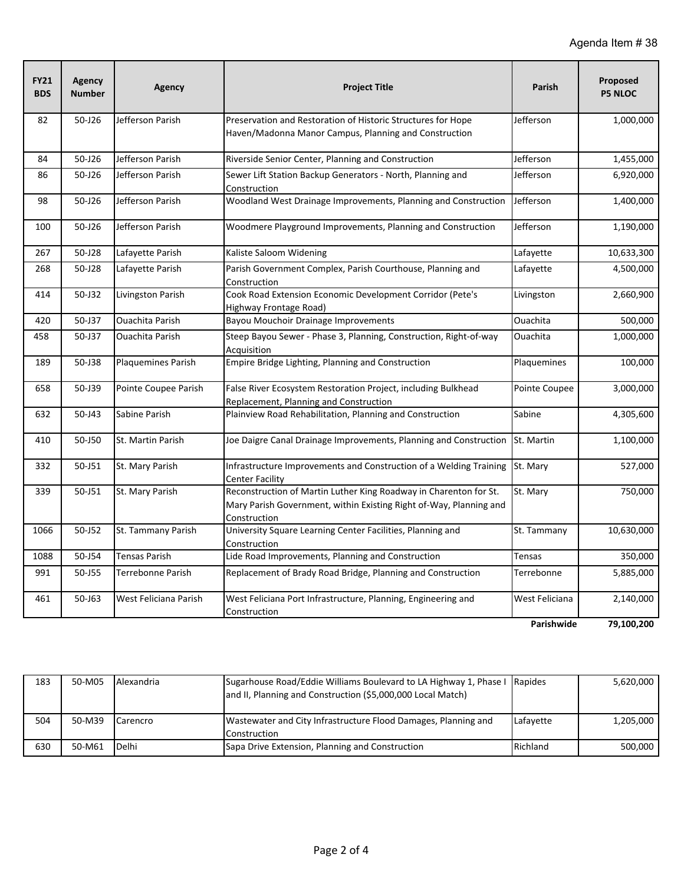| <b>FY21</b><br><b>BDS</b> | <b>Agency</b><br><b>Number</b> | <b>Agency</b>             | <b>Project Title</b>                                                                                                                                    | Parish          | Proposed<br><b>P5 NLOC</b> |
|---------------------------|--------------------------------|---------------------------|---------------------------------------------------------------------------------------------------------------------------------------------------------|-----------------|----------------------------|
| 82                        | 50-J26                         | Jefferson Parish          | Preservation and Restoration of Historic Structures for Hope                                                                                            | Jefferson       | 1,000,000                  |
|                           |                                |                           | Haven/Madonna Manor Campus, Planning and Construction                                                                                                   |                 |                            |
| 84                        | 50-J26                         | Jefferson Parish          | Riverside Senior Center, Planning and Construction                                                                                                      | Jefferson       | 1,455,000                  |
| 86                        | 50-J26                         | Jefferson Parish          | Sewer Lift Station Backup Generators - North, Planning and<br>Construction                                                                              | Jefferson       | 6,920,000                  |
| 98                        | 50-J26                         | Jefferson Parish          | Woodland West Drainage Improvements, Planning and Construction                                                                                          | Jefferson       | 1,400,000                  |
| 100                       | 50-J26                         | Jefferson Parish          | Woodmere Playground Improvements, Planning and Construction                                                                                             | Jefferson       | 1,190,000                  |
| 267                       | 50-J28                         | Lafayette Parish          | Kaliste Saloom Widening                                                                                                                                 | Lafayette       | 10,633,300                 |
| 268                       | 50-J28                         | Lafayette Parish          | Parish Government Complex, Parish Courthouse, Planning and<br>Construction                                                                              | Lafayette       | 4,500,000                  |
| 414                       | 50-J32                         | Livingston Parish         | Cook Road Extension Economic Development Corridor (Pete's<br>Highway Frontage Road)                                                                     | Livingston      | 2,660,900                  |
| 420                       | 50-J37                         | <b>Ouachita Parish</b>    | Bayou Mouchoir Drainage Improvements                                                                                                                    | Ouachita        | 500,000                    |
| 458                       | 50-J37                         | <b>Ouachita Parish</b>    | Steep Bayou Sewer - Phase 3, Planning, Construction, Right-of-way<br>Acquisition                                                                        | <b>Ouachita</b> | 1,000,000                  |
| 189                       | 50-J38                         | <b>Plaquemines Parish</b> | Empire Bridge Lighting, Planning and Construction                                                                                                       | Plaquemines     | 100,000                    |
| 658                       | 50-J39                         | Pointe Coupee Parish      | False River Ecosystem Restoration Project, including Bulkhead<br>Replacement, Planning and Construction                                                 | Pointe Coupee   | 3,000,000                  |
| 632                       | 50-J43                         | Sabine Parish             | Plainview Road Rehabilitation, Planning and Construction                                                                                                | Sabine          | 4,305,600                  |
| 410                       | 50-J50                         | St. Martin Parish         | Joe Daigre Canal Drainage Improvements, Planning and Construction                                                                                       | St. Martin      | 1,100,000                  |
| 332                       | 50-J51                         | St. Mary Parish           | Infrastructure Improvements and Construction of a Welding Training<br>Center Facility                                                                   | St. Mary        | 527,000                    |
| 339                       | 50-J51                         | St. Mary Parish           | Reconstruction of Martin Luther King Roadway in Charenton for St.<br>Mary Parish Government, within Existing Right of-Way, Planning and<br>Construction | St. Mary        | 750,000                    |
| 1066                      | 50-J52                         | St. Tammany Parish        | University Square Learning Center Facilities, Planning and<br>Construction                                                                              | St. Tammany     | 10,630,000                 |
| 1088                      | 50-J54                         | <b>Tensas Parish</b>      | Lide Road Improvements, Planning and Construction                                                                                                       | Tensas          | 350,000                    |
| 991                       | 50-J55                         | <b>Terrebonne Parish</b>  | Replacement of Brady Road Bridge, Planning and Construction                                                                                             | Terrebonne      | 5,885,000                  |
| 461                       | 50-J63                         | West Feliciana Parish     | West Feliciana Port Infrastructure, Planning, Engineering and<br>Construction                                                                           | West Feliciana  | 2,140,000                  |
|                           |                                |                           |                                                                                                                                                         | Parishwide      | 79,100,200                 |

| 183 | 50-M05 | Alexandria | Sugarhouse Road/Eddie Williams Boulevard to LA Highway 1, Phase I Rapides<br>and II, Planning and Construction (\$5,000,000 Local Match) |           | 5,620,000 |
|-----|--------|------------|------------------------------------------------------------------------------------------------------------------------------------------|-----------|-----------|
| 504 | 50-M39 | Carencro   | Wastewater and City Infrastructure Flood Damages, Planning and<br>Construction                                                           | Lafayette | 1,205,000 |
| 630 | 50-M61 | Delhi      | Sapa Drive Extension, Planning and Construction                                                                                          | Richland  | 500,000   |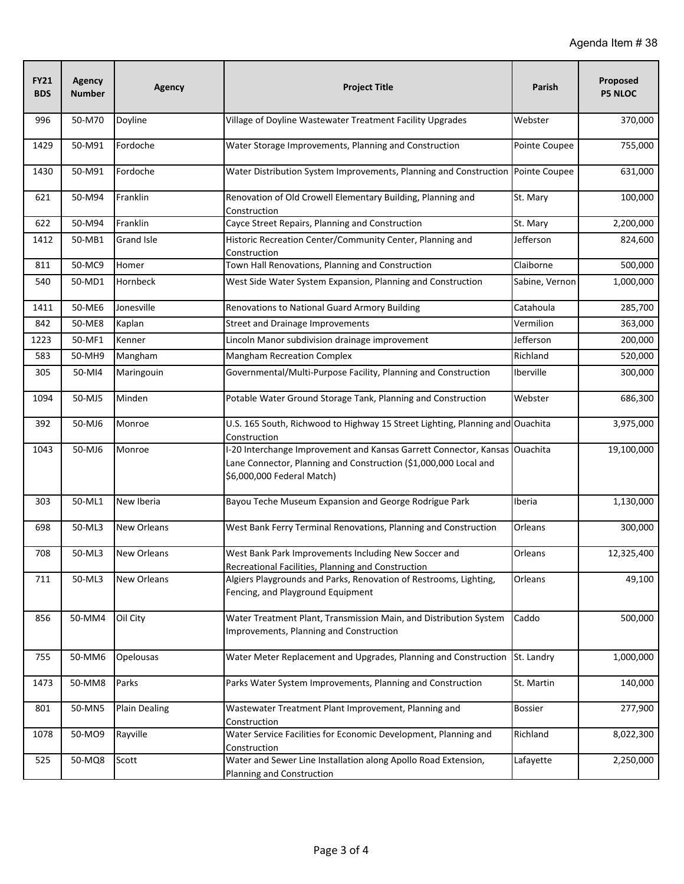| <b>FY21</b><br><b>BDS</b> | Agency<br><b>Number</b> | Agency               | <b>Project Title</b>                                                                                                                                                | Parish         | Proposed<br><b>P5 NLOC</b> |
|---------------------------|-------------------------|----------------------|---------------------------------------------------------------------------------------------------------------------------------------------------------------------|----------------|----------------------------|
| 996                       | 50-M70                  | Doyline              | Village of Doyline Wastewater Treatment Facility Upgrades                                                                                                           | Webster        | 370,000                    |
| 1429                      | 50-M91                  | Fordoche             | Water Storage Improvements, Planning and Construction                                                                                                               | Pointe Coupee  | 755,000                    |
| 1430                      | 50-M91                  | Fordoche             | Water Distribution System Improvements, Planning and Construction Pointe Coupee                                                                                     |                | 631,000                    |
| 621                       | 50-M94                  | Franklin             | Renovation of Old Crowell Elementary Building, Planning and<br>Construction                                                                                         | St. Mary       | 100,000                    |
| 622                       | 50-M94                  | Franklin             | Cayce Street Repairs, Planning and Construction                                                                                                                     | St. Mary       | 2,200,000                  |
| 1412                      | 50-MB1                  | Grand Isle           | Historic Recreation Center/Community Center, Planning and<br>Construction                                                                                           | Jefferson      | 824,600                    |
| 811                       | 50-MC9                  | Homer                | Town Hall Renovations, Planning and Construction                                                                                                                    | Claiborne      | 500,000                    |
| 540                       | 50-MD1                  | Hornbeck             | West Side Water System Expansion, Planning and Construction                                                                                                         | Sabine, Vernon | 1,000,000                  |
| 1411                      | 50-ME6                  | Jonesville           | Renovations to National Guard Armory Building                                                                                                                       | Catahoula      | 285,700                    |
| 842                       | 50-ME8                  | Kaplan               | <b>Street and Drainage Improvements</b>                                                                                                                             | Vermilion      | 363,000                    |
| 1223                      | 50-MF1                  | Kenner               | Lincoln Manor subdivision drainage improvement                                                                                                                      | Jefferson      | 200,000                    |
| 583                       | 50-MH9                  | Mangham              | <b>Mangham Recreation Complex</b>                                                                                                                                   | Richland       | 520,000                    |
| 305                       | 50-MI4                  | Maringouin           | Governmental/Multi-Purpose Facility, Planning and Construction                                                                                                      | Iberville      | 300,000                    |
| 1094                      | 50-MJ5                  | Minden               | Potable Water Ground Storage Tank, Planning and Construction                                                                                                        | Webster        | 686,300                    |
| 392                       | 50-MJ6                  | Monroe               | U.S. 165 South, Richwood to Highway 15 Street Lighting, Planning and Ouachita<br>Construction                                                                       |                | 3,975,000                  |
| 1043                      | 50-MJ6                  | Monroe               | I-20 Interchange Improvement and Kansas Garrett Connector, Kansas<br>Lane Connector, Planning and Construction (\$1,000,000 Local and<br>\$6,000,000 Federal Match) | Ouachita       | 19,100,000                 |
| 303                       | 50-ML1                  | New Iberia           | Bayou Teche Museum Expansion and George Rodrigue Park                                                                                                               | Iberia         | 1,130,000                  |
| 698                       | 50-ML3                  | New Orleans          | West Bank Ferry Terminal Renovations, Planning and Construction                                                                                                     | Orleans        | 300,000                    |
| 708                       | 50-ML3                  | <b>New Orleans</b>   | West Bank Park Improvements Including New Soccer and<br>Recreational Facilities, Planning and Construction                                                          | Orleans        | 12,325,400                 |
| 711                       | 50-ML3                  | <b>New Orleans</b>   | Algiers Playgrounds and Parks, Renovation of Restrooms, Lighting,<br>Fencing, and Playground Equipment                                                              | Orleans        | 49,100                     |
| 856                       | 50-MM4                  | Oil City             | Water Treatment Plant, Transmission Main, and Distribution System<br>Improvements, Planning and Construction                                                        | Caddo          | 500,000                    |
| 755                       | 50-MM6                  | Opelousas            | Water Meter Replacement and Upgrades, Planning and Construction                                                                                                     | St. Landry     | 1,000,000                  |
| 1473                      | 50-MM8                  | Parks                | Parks Water System Improvements, Planning and Construction                                                                                                          | St. Martin     | 140,000                    |
| 801                       | 50-MN5                  | <b>Plain Dealing</b> | Wastewater Treatment Plant Improvement, Planning and<br>Construction                                                                                                | <b>Bossier</b> | 277,900                    |
| 1078                      | 50-MO9                  | Rayville             | Water Service Facilities for Economic Development, Planning and<br>Construction                                                                                     | Richland       | 8,022,300                  |
| 525                       | 50-MQ8                  | Scott                | Water and Sewer Line Installation along Apollo Road Extension,<br>Planning and Construction                                                                         | Lafayette      | 2,250,000                  |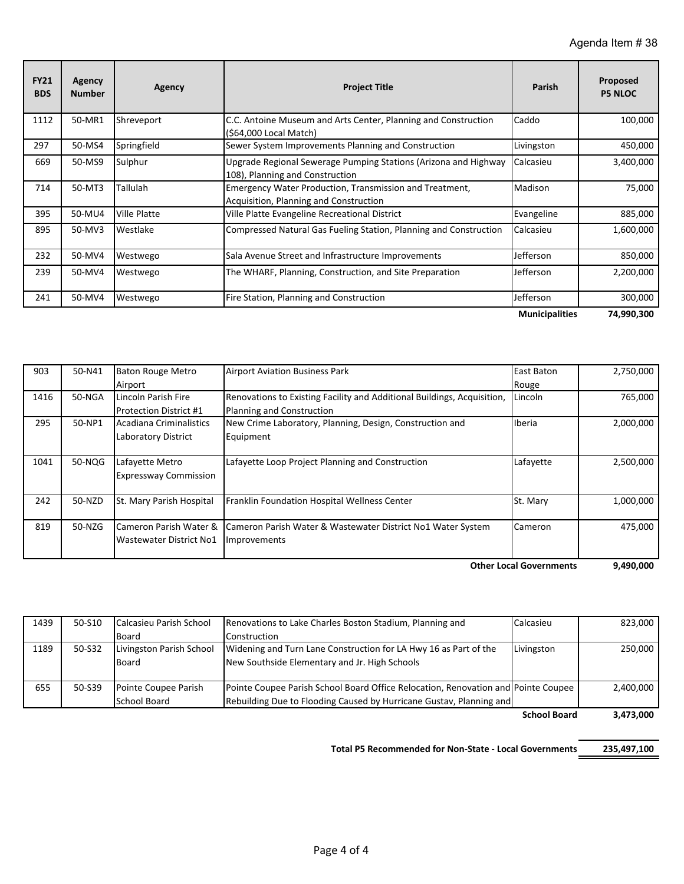| <b>FY21</b><br><b>BDS</b> | Agency<br><b>Number</b> | Agency              | <b>Project Title</b>                                                                               | Parish                | <b>Proposed</b><br><b>P5 NLOC</b> |
|---------------------------|-------------------------|---------------------|----------------------------------------------------------------------------------------------------|-----------------------|-----------------------------------|
| 1112                      | 50-MR1                  | Shreveport          | C.C. Antoine Museum and Arts Center, Planning and Construction<br>(\$64,000 Local Match)           | Caddo                 | 100,000                           |
| 297                       | 50-MS4                  | Springfield         | Sewer System Improvements Planning and Construction                                                | Livingston            | 450,000                           |
| 669                       | 50-MS9                  | Sulphur             | Upgrade Regional Sewerage Pumping Stations (Arizona and Highway<br>108), Planning and Construction | Calcasieu             | 3,400,000                         |
| 714                       | 50-MT3                  | Tallulah            | Emergency Water Production, Transmission and Treatment,<br>Acquisition, Planning and Construction  | Madison               | 75,000                            |
| 395                       | 50-MU4                  | <b>Ville Platte</b> | Ville Platte Evangeline Recreational District                                                      | Evangeline            | 885,000                           |
| 895                       | 50-MV3                  | Westlake            | Compressed Natural Gas Fueling Station, Planning and Construction                                  | Calcasieu             | 1,600,000                         |
| 232                       | 50-MV4                  | Westwego            | Sala Avenue Street and Infrastructure Improvements                                                 | Jefferson             | 850,000                           |
| 239                       | 50-MV4                  | Westwego            | The WHARF, Planning, Construction, and Site Preparation                                            | Jefferson             | 2,200,000                         |
| 241                       | 50-MV4                  | Westwego            | Fire Station, Planning and Construction                                                            | Jefferson             | 300,000                           |
|                           |                         |                     |                                                                                                    | <b>Municipalities</b> | 74,990,300                        |

| 903                            | 50-N41 | <b>Baton Rouge Metro</b>       | <b>Airport Aviation Business Park</b>                                   | <b>East Baton</b> | 2,750,000 |
|--------------------------------|--------|--------------------------------|-------------------------------------------------------------------------|-------------------|-----------|
|                                |        | Airport                        |                                                                         | Rouge             |           |
| 1416                           | 50-NGA | Lincoln Parish Fire            | Renovations to Existing Facility and Additional Buildings, Acquisition, | Lincoln           | 765,000   |
|                                |        | <b>Protection District #1</b>  | Planning and Construction                                               |                   |           |
| 295                            | 50-NP1 | Acadiana Criminalistics        | New Crime Laboratory, Planning, Design, Construction and                | Iberia            | 2,000,000 |
|                                |        | Laboratory District            | Equipment                                                               |                   |           |
|                                |        |                                |                                                                         |                   |           |
| 1041                           | 50-NQG | Lafayette Metro                | Lafayette Loop Project Planning and Construction                        | Lafayette         | 2,500,000 |
|                                |        | <b>Expressway Commission</b>   |                                                                         |                   |           |
|                                |        |                                |                                                                         |                   |           |
| 242                            | 50-NZD | St. Mary Parish Hospital       | Franklin Foundation Hospital Wellness Center                            | St. Mary          | 1,000,000 |
|                                |        |                                |                                                                         |                   |           |
| 819                            | 50-NZG | Cameron Parish Water &         | Cameron Parish Water & Wastewater District No1 Water System             | Cameron           | 475,000   |
|                                |        | <b>Wastewater District No1</b> | Improvements                                                            |                   |           |
|                                |        |                                |                                                                         |                   |           |
| <b>Other Local Governments</b> |        |                                |                                                                         |                   | 9,490,000 |

| 1439 | 50-S10 | Calcasieu Parish School  | Renovations to Lake Charles Boston Stadium, Planning and                          | Calcasieu    | 823,000          |
|------|--------|--------------------------|-----------------------------------------------------------------------------------|--------------|------------------|
|      |        | Board                    | Construction                                                                      |              |                  |
| 1189 | 50-S32 | Livingston Parish School | Widening and Turn Lane Construction for LA Hwy 16 as Part of the                  | Livingston   | 250,000          |
|      |        | Board                    | New Southside Elementary and Jr. High Schools                                     |              |                  |
|      |        |                          |                                                                                   |              |                  |
| 655  | 50-S39 | Pointe Coupee Parish     | Pointe Coupee Parish School Board Office Relocation, Renovation and Pointe Coupee |              | 2,400,000        |
|      |        | School Board             | Rebuilding Due to Flooding Caused by Hurricane Gustav, Planning and               |              |                  |
|      |        |                          |                                                                                   | Cohool Doord | <b>2.472.000</b> |

 **3,473,000 School Board**

**Total P5 Recommended for Non‐State ‐ Local Governments 235,497,100**